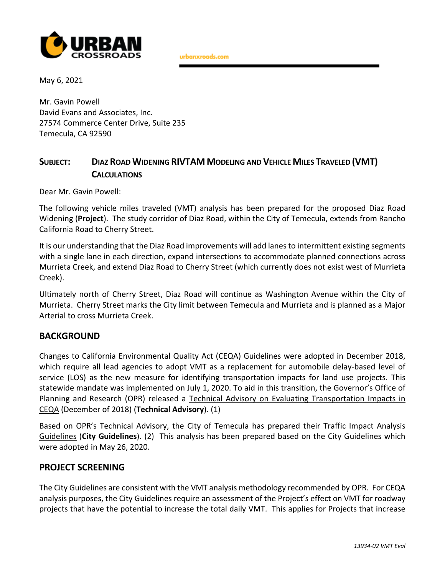

urbanxroads.com

May 6, 2021

Mr. Gavin Powell David Evans and Associates, Inc. 27574 Commerce Center Drive, Suite 235 Temecula, CA 92590

## **SUBJECT: DIAZ ROAD WIDENING RIVTAM MODELING AND VEHICLE MILES TRAVELED (VMT) CALCULATIONS**

Dear Mr. Gavin Powell:

The following vehicle miles traveled (VMT) analysis has been prepared for the proposed Diaz Road Widening (**Project**). The study corridor of Diaz Road, within the City of Temecula, extends from Rancho California Road to Cherry Street.

It is our understanding that the Diaz Road improvements will add lanesto intermittent existing segments with a single lane in each direction, expand intersections to accommodate planned connections across Murrieta Creek, and extend Diaz Road to Cherry Street (which currently does not exist west of Murrieta Creek).

Ultimately north of Cherry Street, Diaz Road will continue as Washington Avenue within the City of Murrieta. Cherry Street marks the City limit between Temecula and Murrieta and is planned as a Major Arterial to cross Murrieta Creek.

#### **BACKGROUND**

Changes to California Environmental Quality Act (CEQA) Guidelines were adopted in December 2018, which require all lead agencies to adopt VMT as a replacement for automobile delay-based level of service (LOS) as the new measure for identifying transportation impacts for land use projects. This statewide mandate was implemented on July 1, 2020. To aid in this transition, the Governor's Office of Planning and Research (OPR) released a Technical Advisory on Evaluating Transportation Impacts in CEQA (December of 2018) (**Technical Advisory**). (1)

Based on OPR's Technical Advisory, the City of Temecula has prepared their Traffic Impact Analysis Guidelines (**City Guidelines**). (2) This analysis has been prepared based on the City Guidelines which were adopted in May 26, 2020.

#### **PROJECT SCREENING**

The City Guidelines are consistent with the VMT analysis methodology recommended by OPR. For CEQA analysis purposes, the City Guidelines require an assessment of the Project's effect on VMT for roadway projects that have the potential to increase the total daily VMT. This applies for Projects that increase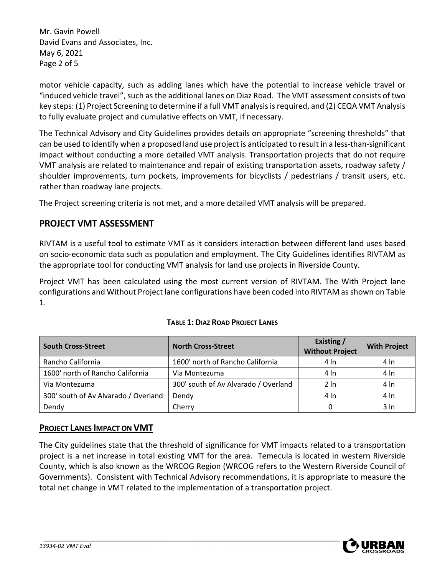Mr. Gavin Powell David Evans and Associates, Inc. May 6, 2021 Page 2 of 5

motor vehicle capacity, such as adding lanes which have the potential to increase vehicle travel or "induced vehicle travel", such as the additional lanes on Diaz Road. The VMT assessment consists of two key steps: (1) Project Screening to determine if a full VMT analysis is required, and (2) CEQA VMT Analysis to fully evaluate project and cumulative effects on VMT, if necessary.

The Technical Advisory and City Guidelines provides details on appropriate "screening thresholds" that can be used to identify when a proposed land use project is anticipated to result in a less‐than‐significant impact without conducting a more detailed VMT analysis. Transportation projects that do not require VMT analysis are related to maintenance and repair of existing transportation assets, roadway safety / shoulder improvements, turn pockets, improvements for bicyclists / pedestrians / transit users, etc. rather than roadway lane projects.

The Project screening criteria is not met, and a more detailed VMT analysis will be prepared.

## **PROJECT VMT ASSESSMENT**

RIVTAM is a useful tool to estimate VMT as it considers interaction between different land uses based on socio‐economic data such as population and employment. The City Guidelines identifies RIVTAM as the appropriate tool for conducting VMT analysis for land use projects in Riverside County.

Project VMT has been calculated using the most current version of RIVTAM. The With Project lane configurations and Without Project lane configurations have been coded into RIVTAM as shown on Table 1.

| <b>South Cross-Street</b>            | <b>North Cross-Street</b>            | Existing /<br><b>Without Project</b> | <b>With Project</b> |
|--------------------------------------|--------------------------------------|--------------------------------------|---------------------|
| Rancho California                    | 1600' north of Rancho California     | 4 In                                 | 4 In                |
| 1600' north of Rancho California     | Via Montezuma                        | 4 In                                 | 4 In                |
| Via Montezuma                        | 300' south of Av Alvarado / Overland | $2 \ln$                              | 4 In                |
| 300' south of Av Alvarado / Overland | Dendy                                | 4 In                                 | 4 In                |
| Dendy                                | Cherrv                               |                                      | 3 In                |

#### **TABLE 1: DIAZ ROAD PROJECT LANES**

#### **PROJECT LANES IMPACT ON VMT**

The City guidelines state that the threshold of significance for VMT impacts related to a transportation project is a net increase in total existing VMT for the area. Temecula is located in western Riverside County, which is also known as the WRCOG Region (WRCOG refers to the Western Riverside Council of Governments). Consistent with Technical Advisory recommendations, it is appropriate to measure the total net change in VMT related to the implementation of a transportation project.

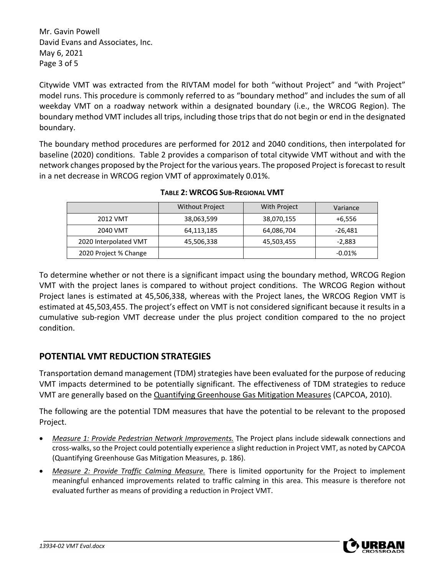Mr. Gavin Powell David Evans and Associates, Inc. May 6, 2021 Page 3 of 5

Citywide VMT was extracted from the RIVTAM model for both "without Project" and "with Project" model runs. This procedure is commonly referred to as "boundary method" and includes the sum of all weekday VMT on a roadway network within a designated boundary (i.e., the WRCOG Region). The boundary method VMT includes all trips, including those trips that do not begin or end in the designated boundary.

The boundary method procedures are performed for 2012 and 2040 conditions, then interpolated for baseline (2020) conditions. Table 2 provides a comparison of total citywide VMT without and with the network changes proposed by the Project for the various years. The proposed Project isforecast to result in a net decrease in WRCOG region VMT of approximately 0.01%.

|                       | <b>Without Project</b> | With Project | Variance |
|-----------------------|------------------------|--------------|----------|
| 2012 VMT              | 38,063,599             | 38,070,155   | +6,556   |
| 2040 VMT              | 64,113,185             | 64,086,704   | -26,481  |
| 2020 Interpolated VMT | 45,506,338             | 45,503,455   | -2.883   |
| 2020 Project % Change |                        |              | $-0.01%$ |

**TABLE 2: WRCOG SUB‐REGIONAL VMT**

To determine whether or not there is a significant impact using the boundary method, WRCOG Region VMT with the project lanes is compared to without project conditions. The WRCOG Region without Project lanes is estimated at 45,506,338, whereas with the Project lanes, the WRCOG Region VMT is estimated at 45,503,455. The project's effect on VMT is not considered significant because it results in a cumulative sub‐region VMT decrease under the plus project condition compared to the no project condition.

# **POTENTIAL VMT REDUCTION STRATEGIES**

Transportation demand management (TDM) strategies have been evaluated for the purpose of reducing VMT impacts determined to be potentially significant. The effectiveness of TDM strategies to reduce VMT are generally based on the Quantifying Greenhouse Gas Mitigation Measures (CAPCOA, 2010).

The following are the potential TDM measures that have the potential to be relevant to the proposed Project.

- *Measure 1: Provide Pedestrian Network Improvements.* The Project plans include sidewalk connections and cross‐walks,so the Project could potentially experience a slight reduction in Project VMT, as noted by CAPCOA (Quantifying Greenhouse Gas Mitigation Measures, p. 186).
- *Measure 2: Provide Traffic Calming Measure.* There is limited opportunity for the Project to implement meaningful enhanced improvements related to traffic calming in this area. This measure is therefore not evaluated further as means of providing a reduction in Project VMT.

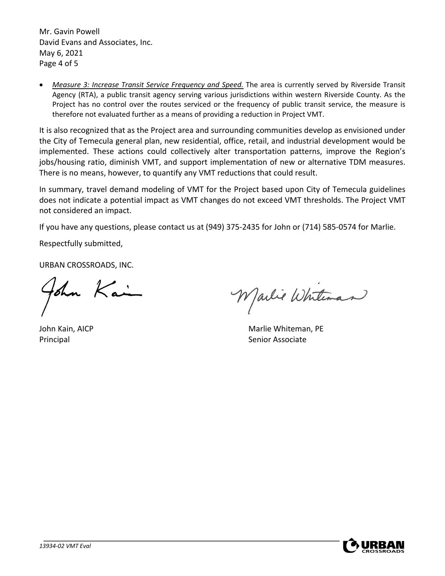Mr. Gavin Powell David Evans and Associates, Inc. May 6, 2021 Page 4 of 5

 *Measure 3: Increase Transit Service Frequency and Speed.* The area is currently served by Riverside Transit Agency (RTA), a public transit agency serving various jurisdictions within western Riverside County. As the Project has no control over the routes serviced or the frequency of public transit service, the measure is therefore not evaluated further as a means of providing a reduction in Project VMT.

It is also recognized that as the Project area and surrounding communities develop as envisioned under the City of Temecula general plan, new residential, office, retail, and industrial development would be implemented. These actions could collectively alter transportation patterns, improve the Region's jobs/housing ratio, diminish VMT, and support implementation of new or alternative TDM measures. There is no means, however, to quantify any VMT reductions that could result.

In summary, travel demand modeling of VMT for the Project based upon City of Temecula guidelines does not indicate a potential impact as VMT changes do not exceed VMT thresholds. The Project VMT not considered an impact.

If you have any questions, please contact us at (949) 375‐2435 for John or (714) 585‐0574 for Marlie.

Respectfully submitted,

URBAN CROSSROADS, INC.

ohn Kai

Marlie Whiteman

John Kain, AICP Marlie Whiteman, PE Principal **Senior Associate Principal**